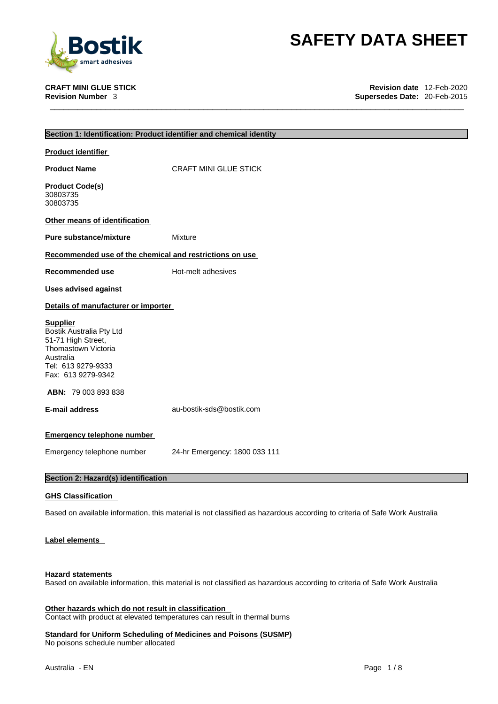

**CRAFT MINI GLUE STICK Revision date** 12-Feb-2020 **Supersedes Date: 20-Feb-2015** 

| Section 1: Identification: Product identifier and chemical identity                                                                               |                                                                                                                           |
|---------------------------------------------------------------------------------------------------------------------------------------------------|---------------------------------------------------------------------------------------------------------------------------|
| <b>Product identifier</b>                                                                                                                         |                                                                                                                           |
| <b>Product Name</b>                                                                                                                               | <b>CRAFT MINI GLUE STICK</b>                                                                                              |
| <b>Product Code(s)</b><br>30803735<br>30803735                                                                                                    |                                                                                                                           |
| Other means of identification                                                                                                                     |                                                                                                                           |
| <b>Pure substance/mixture</b>                                                                                                                     | Mixture                                                                                                                   |
| Recommended use of the chemical and restrictions on use                                                                                           |                                                                                                                           |
| Recommended use                                                                                                                                   | Hot-melt adhesives                                                                                                        |
| <b>Uses advised against</b>                                                                                                                       |                                                                                                                           |
| Details of manufacturer or importer                                                                                                               |                                                                                                                           |
| <b>Supplier</b><br>Bostik Australia Pty Ltd<br>51-71 High Street,<br>Thomastown Victoria<br>Australia<br>Tel: 613 9279-9333<br>Fax: 613 9279-9342 |                                                                                                                           |
| <b>ABN: 79 003 893 838</b>                                                                                                                        |                                                                                                                           |
| <b>E-mail address</b>                                                                                                                             | au-bostik-sds@bostik.com                                                                                                  |
| <b>Emergency telephone number</b>                                                                                                                 |                                                                                                                           |
| Emergency telephone number                                                                                                                        | 24-hr Emergency: 1800 033 111                                                                                             |
| Section 2: Hazard(s) identification                                                                                                               |                                                                                                                           |
| <b>GHS Classification</b>                                                                                                                         |                                                                                                                           |
|                                                                                                                                                   | Based on available information, this material is not classified as hazardous according to criteria of Safe Work Australia |
| <b>Label elements</b>                                                                                                                             |                                                                                                                           |

## **Hazard statements**

Based on available information, this material is not classified as hazardous according to criteria of Safe Work Australia

**Other hazards which do not result in classification** Contact with product at elevated temperatures can result in thermal burns

**Standard for Uniform Scheduling of Medicines and Poisons (SUSMP)** No poisons schedule number allocated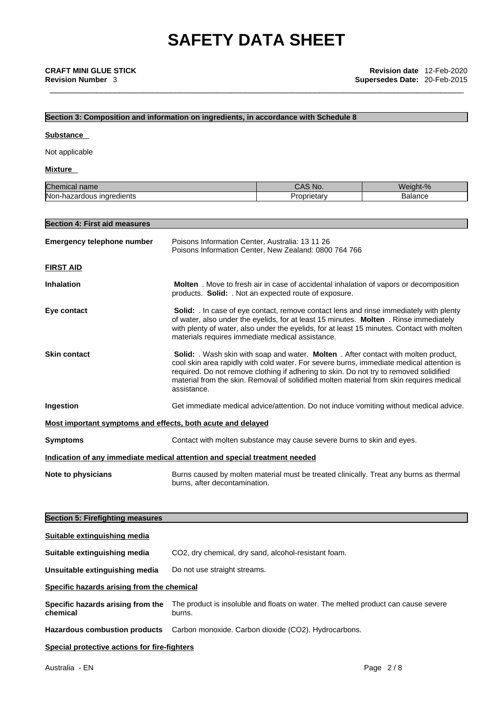# **Section 3: Composition and information on ingredients, in accordance with Schedule 8**

#### **Substance**

Not applicable

### **Mixture**

| Chem<br>$n \cdot m$<br>nicai<br>Tiane | NO.<br>ں ص | alar<br>۸I د<br>nt=%<br>m |
|---------------------------------------|------------|---------------------------|
| Non-ha                                | `rietarv   | 50000                     |
| azardous ingredients                  | 10D.       | <b>DalaHue</b>            |

| <b>Section 4: First aid measures</b> |                                                                                                                                                                                                                                                                                                                                                                                      |
|--------------------------------------|--------------------------------------------------------------------------------------------------------------------------------------------------------------------------------------------------------------------------------------------------------------------------------------------------------------------------------------------------------------------------------------|
| <b>Emergency telephone number</b>    | Poisons Information Center, Australia: 13 11 26<br>Poisons Information Center, New Zealand: 0800 764 766                                                                                                                                                                                                                                                                             |
| <b>FIRST AID</b>                     |                                                                                                                                                                                                                                                                                                                                                                                      |
| <b>Inhalation</b>                    | Molten. Move to fresh air in case of accidental inhalation of vapors or decomposition<br>products. Solid: . Not an expected route of exposure.                                                                                                                                                                                                                                       |
| Eye contact                          | Solid: . In case of eye contact, remove contact lens and rinse immediately with plenty<br>of water, also under the eyelids, for at least 15 minutes. Molten . Rinse immediately<br>with plenty of water, also under the eyelids, for at least 15 minutes. Contact with molten<br>materials requires immediate medical assistance.                                                    |
| <b>Skin contact</b>                  | Solid: . Wash skin with soap and water. Molten . After contact with molten product,<br>cool skin area rapidly with cold water. For severe burns, immediate medical attention is<br>required. Do not remove clothing if adhering to skin. Do not try to removed solidified<br>material from the skin. Removal of solidified molten material from skin requires medical<br>assistance. |
| <b>Ingestion</b>                     | Get immediate medical advice/attention. Do not induce vomiting without medical advice.                                                                                                                                                                                                                                                                                               |
|                                      | <u>Most important symptoms and effects, both acute and delayed</u>                                                                                                                                                                                                                                                                                                                   |
| <b>Symptoms</b>                      | Contact with molten substance may cause severe burns to skin and eyes.                                                                                                                                                                                                                                                                                                               |
|                                      | Indication of any immediate medical attention and special treatment needed                                                                                                                                                                                                                                                                                                           |
| <b>Note to physicians</b>            | Burns caused by molten material must be treated clinically. Treat any burns as thermal<br>burns, after decontamination.                                                                                                                                                                                                                                                              |

### **Section 5: Firefighting measures**

| Suitable extinguishing media                  |                                                                                             |  |
|-----------------------------------------------|---------------------------------------------------------------------------------------------|--|
| Suitable extinguishing media                  | CO2, dry chemical, dry sand, alcohol-resistant foam.                                        |  |
| Unsuitable extinguishing media                | Do not use straight streams.                                                                |  |
| Specific hazards arising from the chemical    |                                                                                             |  |
| Specific hazards arising from the<br>chemical | The product is insoluble and floats on water. The melted product can cause severe<br>burns. |  |
|                                               | Hazardous combustion products Carbon monoxide. Carbon dioxide (CO2). Hydrocarbons.          |  |
| Special protective actions for fire-fighters  |                                                                                             |  |
|                                               |                                                                                             |  |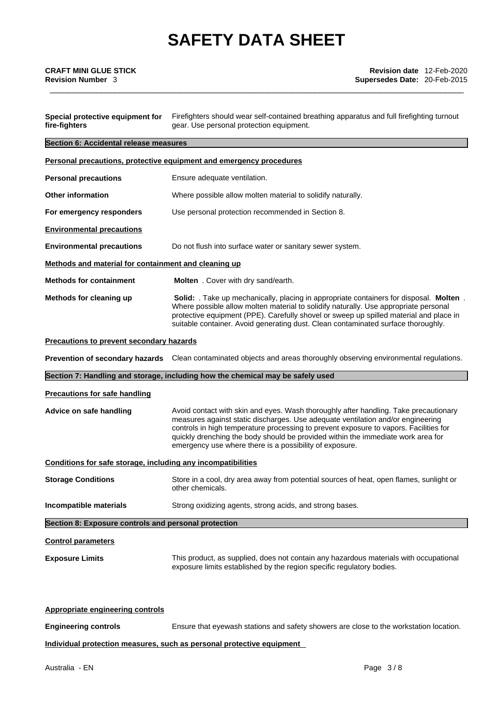| Special protective equipment for<br>fire-fighters            | Firefighters should wear self-contained breathing apparatus and full firefighting turnout<br>gear. Use personal protection equipment.                                                                                                                                                                                                                                                                           |  |
|--------------------------------------------------------------|-----------------------------------------------------------------------------------------------------------------------------------------------------------------------------------------------------------------------------------------------------------------------------------------------------------------------------------------------------------------------------------------------------------------|--|
| Section 6: Accidental release measures                       |                                                                                                                                                                                                                                                                                                                                                                                                                 |  |
|                                                              | Personal precautions, protective equipment and emergency procedures                                                                                                                                                                                                                                                                                                                                             |  |
| <b>Personal precautions</b>                                  | Ensure adequate ventilation.                                                                                                                                                                                                                                                                                                                                                                                    |  |
| <b>Other information</b>                                     | Where possible allow molten material to solidify naturally.                                                                                                                                                                                                                                                                                                                                                     |  |
| For emergency responders                                     | Use personal protection recommended in Section 8.                                                                                                                                                                                                                                                                                                                                                               |  |
| <b>Environmental precautions</b>                             |                                                                                                                                                                                                                                                                                                                                                                                                                 |  |
| <b>Environmental precautions</b>                             | Do not flush into surface water or sanitary sewer system.                                                                                                                                                                                                                                                                                                                                                       |  |
| Methods and material for containment and cleaning up         |                                                                                                                                                                                                                                                                                                                                                                                                                 |  |
| <b>Methods for containment</b>                               | Molten . Cover with dry sand/earth.                                                                                                                                                                                                                                                                                                                                                                             |  |
| Methods for cleaning up                                      | <b>Solid:</b> Take up mechanically, placing in appropriate containers for disposal. Molten.<br>Where possible allow molten material to solidify naturally. Use appropriate personal<br>protective equipment (PPE). Carefully shovel or sweep up spilled material and place in<br>suitable container. Avoid generating dust. Clean contaminated surface thoroughly.                                              |  |
| Precautions to prevent secondary hazards                     |                                                                                                                                                                                                                                                                                                                                                                                                                 |  |
|                                                              | Prevention of secondary hazards Clean contaminated objects and areas thoroughly observing environmental regulations.                                                                                                                                                                                                                                                                                            |  |
|                                                              | Section 7: Handling and storage, including how the chemical may be safely used                                                                                                                                                                                                                                                                                                                                  |  |
| <b>Precautions for safe handling</b>                         |                                                                                                                                                                                                                                                                                                                                                                                                                 |  |
| Advice on safe handling                                      | Avoid contact with skin and eyes. Wash thoroughly after handling. Take precautionary<br>measures against static discharges. Use adequate ventilation and/or engineering<br>controls in high temperature processing to prevent exposure to vapors. Facilities for<br>quickly drenching the body should be provided within the immediate work area for<br>emergency use where there is a possibility of exposure. |  |
| Conditions for safe storage, including any incompatibilities |                                                                                                                                                                                                                                                                                                                                                                                                                 |  |
| <b>Storage Conditions</b>                                    | Store in a cool, dry area away from potential sources of heat, open flames, sunlight or<br>other chemicals.                                                                                                                                                                                                                                                                                                     |  |
| Incompatible materials                                       | Strong oxidizing agents, strong acids, and strong bases.                                                                                                                                                                                                                                                                                                                                                        |  |
| Section 8: Exposure controls and personal protection         |                                                                                                                                                                                                                                                                                                                                                                                                                 |  |
| <b>Control parameters</b>                                    |                                                                                                                                                                                                                                                                                                                                                                                                                 |  |
| <b>Exposure Limits</b>                                       | This product, as supplied, does not contain any hazardous materials with occupational<br>exposure limits established by the region specific regulatory bodies.                                                                                                                                                                                                                                                  |  |
| <b>Appropriate engineering controls</b>                      |                                                                                                                                                                                                                                                                                                                                                                                                                 |  |

**Engineering controls** Ensure that eyewash stations and safety showers are close to the workstation location.

**Individual protection measures, such as personal protective equipment**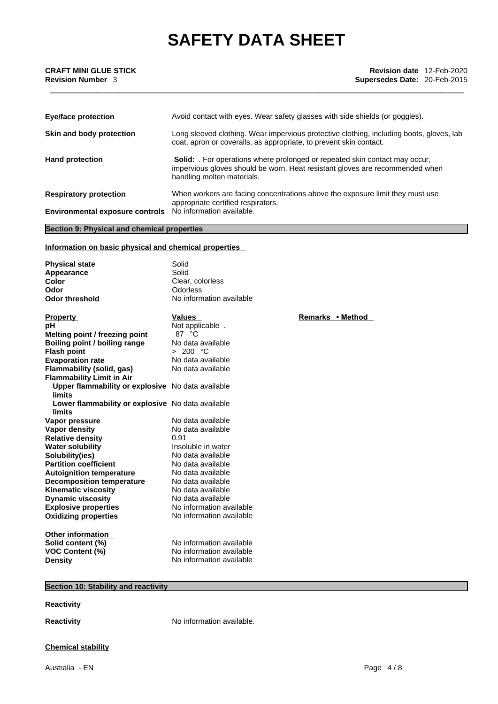| <b>CRAFT MINI GLUE STICK</b><br><b>Revision Number 3</b> | <b>Revision date</b> 12-Feb-2020<br>Supersedes Date: 20-Feb-2015             |
|----------------------------------------------------------|------------------------------------------------------------------------------|
|                                                          |                                                                              |
| Eye/face protection                                      | Avoid contact with eyes. Wear safety glasses with side shields (or goggles). |

|                                        | coat, apron or coveralls, as appropriate, to prevent skin contact.                                                                                                                             |
|----------------------------------------|------------------------------------------------------------------------------------------------------------------------------------------------------------------------------------------------|
| <b>Hand protection</b>                 | <b>Solid:</b> For operations where prolonged or repeated skin contact may occur,<br>impervious gloves should be worn. Heat resistant gloves are recommended when<br>handling molten materials. |
| <b>Respiratory protection</b>          | When workers are facing concentrations above the exposure limit they must use<br>appropriate certified respirators.                                                                            |
| <b>Environmental exposure controls</b> | No information available.                                                                                                                                                                      |

**Skin and body protection** Long sleeved clothing. Wear impervious protective clothing, including boots, gloves, lab

# **Section 9: Physical and chemical properties**

### **Information on basic physical and chemical properties**

| <b>Physical state</b><br>Appearance<br>Color<br>Odor<br><b>Odor threshold</b> | Solid<br>Solid<br>Clear, colorless<br><b>Odorless</b><br>No information available |                  |
|-------------------------------------------------------------------------------|-----------------------------------------------------------------------------------|------------------|
| <b>Property</b>                                                               | <b>Values</b>                                                                     | Remarks • Method |
| рH                                                                            | Not applicable.                                                                   |                  |
| Melting point / freezing point                                                | 87 °C                                                                             |                  |
| Boiling point / boiling range                                                 | No data available                                                                 |                  |
| <b>Flash point</b>                                                            | > 200 °C                                                                          |                  |
| <b>Evaporation rate</b>                                                       | No data available                                                                 |                  |
| Flammability (solid, gas)                                                     | No data available                                                                 |                  |
| <b>Flammability Limit in Air</b>                                              |                                                                                   |                  |
| Upper flammability or explosive No data available                             |                                                                                   |                  |
| <b>limits</b>                                                                 |                                                                                   |                  |
| Lower flammability or explosive No data available                             |                                                                                   |                  |
| limits                                                                        |                                                                                   |                  |
| Vapor pressure                                                                | No data available                                                                 |                  |
| <b>Vapor density</b>                                                          | No data available                                                                 |                  |
| <b>Relative density</b>                                                       | 0.91                                                                              |                  |
| <b>Water solubility</b>                                                       | Insoluble in water                                                                |                  |
| Solubility(ies)                                                               | No data available                                                                 |                  |
| <b>Partition coefficient</b>                                                  | No data available                                                                 |                  |
| <b>Autoignition temperature</b>                                               | No data available                                                                 |                  |
| <b>Decomposition temperature</b>                                              | No data available                                                                 |                  |
| <b>Kinematic viscosity</b>                                                    | No data available                                                                 |                  |
| <b>Dynamic viscosity</b>                                                      | No data available                                                                 |                  |
| <b>Explosive properties</b>                                                   | No information available                                                          |                  |
| <b>Oxidizing properties</b>                                                   | No information available                                                          |                  |
| Other information                                                             |                                                                                   |                  |
| Solid content (%)                                                             | No information available                                                          |                  |
| VOC Content (%)                                                               | No information available                                                          |                  |
| Density                                                                       | No information available                                                          |                  |
|                                                                               |                                                                                   |                  |

# **Section 10: Stability and reactivity**

#### **Reactivity**

**Reactivity No information available.** 

### **Chemical stability**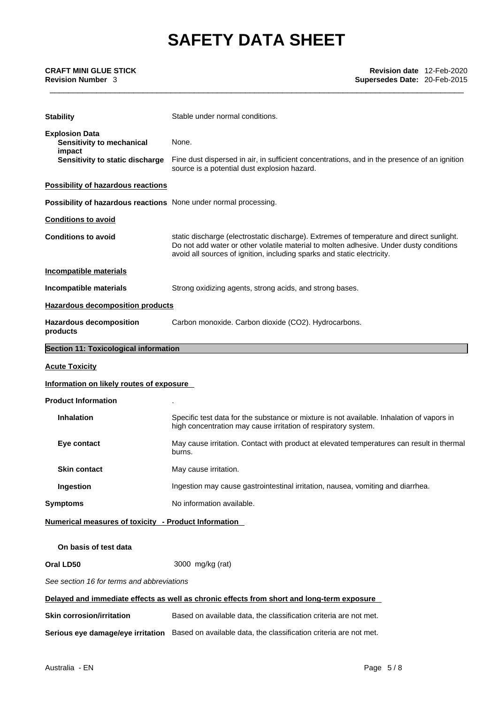| <b>Stability</b>                                                                                | Stable under normal conditions.                                                                                                                                                                                                                               |  |
|-------------------------------------------------------------------------------------------------|---------------------------------------------------------------------------------------------------------------------------------------------------------------------------------------------------------------------------------------------------------------|--|
| <b>Explosion Data</b><br>Sensitivity to mechanical<br>impact<br>Sensitivity to static discharge | None.<br>Fine dust dispersed in air, in sufficient concentrations, and in the presence of an ignition                                                                                                                                                         |  |
|                                                                                                 | source is a potential dust explosion hazard.                                                                                                                                                                                                                  |  |
| <b>Possibility of hazardous reactions</b>                                                       |                                                                                                                                                                                                                                                               |  |
| Possibility of hazardous reactions None under normal processing.                                |                                                                                                                                                                                                                                                               |  |
| <b>Conditions to avoid</b>                                                                      |                                                                                                                                                                                                                                                               |  |
| <b>Conditions to avoid</b>                                                                      | static discharge (electrostatic discharge). Extremes of temperature and direct sunlight.<br>Do not add water or other volatile material to molten adhesive. Under dusty conditions<br>avoid all sources of ignition, including sparks and static electricity. |  |
| <b>Incompatible materials</b>                                                                   |                                                                                                                                                                                                                                                               |  |
| Incompatible materials                                                                          | Strong oxidizing agents, strong acids, and strong bases.                                                                                                                                                                                                      |  |
| <b>Hazardous decomposition products</b>                                                         |                                                                                                                                                                                                                                                               |  |
| <b>Hazardous decomposition</b><br>products                                                      | Carbon monoxide. Carbon dioxide (CO2). Hydrocarbons.                                                                                                                                                                                                          |  |
| <b>Section 11: Toxicological information</b>                                                    |                                                                                                                                                                                                                                                               |  |
| <b>Acute Toxicity</b>                                                                           |                                                                                                                                                                                                                                                               |  |
| Information on likely routes of exposure                                                        |                                                                                                                                                                                                                                                               |  |
| <b>Product Information</b>                                                                      |                                                                                                                                                                                                                                                               |  |
| <b>Inhalation</b>                                                                               | Specific test data for the substance or mixture is not available. Inhalation of vapors in<br>high concentration may cause irritation of respiratory system.                                                                                                   |  |
| Eye contact                                                                                     | May cause irritation. Contact with product at elevated temperatures can result in thermal<br>burns.                                                                                                                                                           |  |
| <b>Skin contact</b>                                                                             | May cause irritation.                                                                                                                                                                                                                                         |  |
| Ingestion                                                                                       | Ingestion may cause gastrointestinal irritation, nausea, vomiting and diarrhea.                                                                                                                                                                               |  |
| <b>Symptoms</b>                                                                                 | No information available.                                                                                                                                                                                                                                     |  |
| Numerical measures of toxicity - Product Information                                            |                                                                                                                                                                                                                                                               |  |
| On basis of test data                                                                           |                                                                                                                                                                                                                                                               |  |
| Oral LD50                                                                                       | 3000 mg/kg (rat)                                                                                                                                                                                                                                              |  |
| See section 16 for terms and abbreviations                                                      |                                                                                                                                                                                                                                                               |  |
|                                                                                                 | Delayed and immediate effects as well as chronic effects from short and long-term exposure                                                                                                                                                                    |  |
| <b>Skin corrosion/irritation</b>                                                                | Based on available data, the classification criteria are not met.                                                                                                                                                                                             |  |
|                                                                                                 | Serious eye damage/eye irritation Based on available data, the classification criteria are not met.                                                                                                                                                           |  |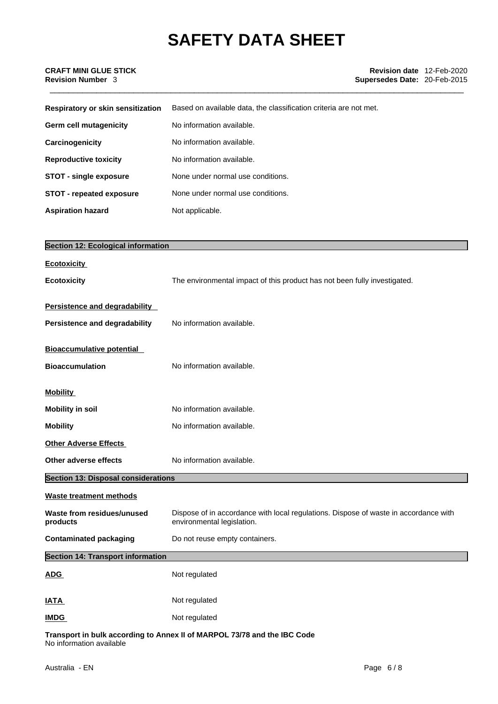| Respiratory or skin sensitization | Based on available data, the classification criteria are not met. |
|-----------------------------------|-------------------------------------------------------------------|
| Germ cell mutagenicity            | No information available.                                         |
| Carcinogenicity                   | No information available.                                         |
| <b>Reproductive toxicity</b>      | No information available.                                         |
| <b>STOT - single exposure</b>     | None under normal use conditions.                                 |
| <b>STOT - repeated exposure</b>   | None under normal use conditions.                                 |
| <b>Aspiration hazard</b>          | Not applicable.                                                   |

| <b>Section 12: Ecological information</b>  |                                                                                                                    |
|--------------------------------------------|--------------------------------------------------------------------------------------------------------------------|
| <b>Ecotoxicity</b>                         |                                                                                                                    |
| <b>Ecotoxicity</b>                         | The environmental impact of this product has not been fully investigated.                                          |
| Persistence and degradability              |                                                                                                                    |
| Persistence and degradability              | No information available.                                                                                          |
| <b>Bioaccumulative potential</b>           |                                                                                                                    |
| <b>Bioaccumulation</b>                     | No information available.                                                                                          |
| <b>Mobility</b>                            |                                                                                                                    |
| <b>Mobility in soil</b>                    | No information available.                                                                                          |
| <b>Mobility</b>                            | No information available.                                                                                          |
| <b>Other Adverse Effects</b>               |                                                                                                                    |
| Other adverse effects                      | No information available.                                                                                          |
| <b>Section 13: Disposal considerations</b> |                                                                                                                    |
| <b>Waste treatment methods</b>             |                                                                                                                    |
| Waste from residues/unused<br>products     | Dispose of in accordance with local regulations. Dispose of waste in accordance with<br>environmental legislation. |
| <b>Contaminated packaging</b>              | Do not reuse empty containers.                                                                                     |
| <b>Section 14: Transport information</b>   |                                                                                                                    |
| <b>ADG</b>                                 | Not regulated                                                                                                      |
| <b>IATA</b>                                | Not regulated                                                                                                      |
| <b>IMDG</b>                                | Not regulated                                                                                                      |

**Transport in bulk according to Annex II ofMARPOL 73/78 and the IBC Code** No information available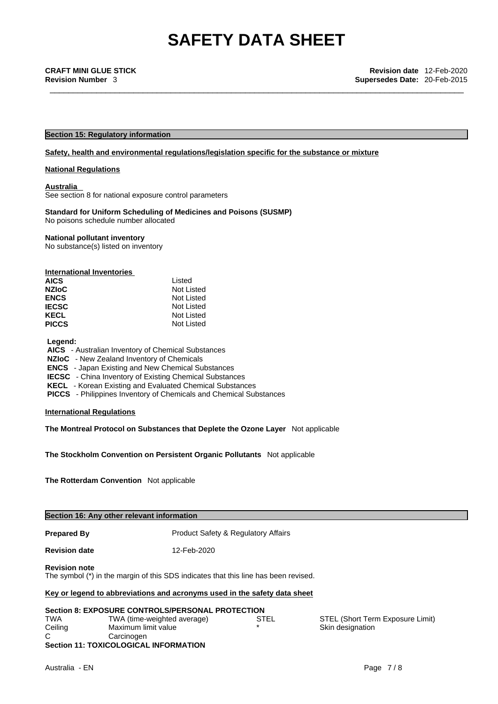#### **Section 15: Regulatory information**

#### **Safety, health and environmental regulations/legislation specific for the substance or mixture**

#### **National Regulations**

**Australia** 

See section 8 for national exposure control parameters

#### **Standard for Uniform Scheduling of Medicines and Poisons (SUSMP)** No poisons schedule number allocated

#### **National pollutant inventory**

No substance(s) listed on inventory

| International Inventories |            |
|---------------------------|------------|
| <b>AICS</b>               | Listed     |
| <b>NZIoC</b>              | Not Listed |
| <b>ENCS</b>               | Not Listed |
| <b>IECSC</b>              | Not Listed |
| <b>KECL</b>               | Not Listed |
| <b>PICCS</b>              | Not Listed |

#### **Legend:**

 **AICS** - Australian Inventory of Chemical Substances

#### **NZIoC** - New Zealand Inventory of Chemicals

 **ENCS** - Japan Existing and New Chemical Substances

**IECSC** - China Inventory of Existing Chemical Substances

 **KECL** - Korean Existing and Evaluated Chemical Substances

 **PICCS** - Philippines Inventory of Chemicals and Chemical Substances

#### **International Regulations**

**The Montreal Protocol on Substances that Deplete the Ozone Layer** Not applicable

**The Stockholm Convention on Persistent Organic Pollutants** Not applicable

**The Rotterdam Convention** Not applicable

| Section 16: Any other relevant information |  |
|--------------------------------------------|--|
|--------------------------------------------|--|

**Prepared By Product Safety & Regulatory Affairs** 

**Revision date** 12-Feb-2020

#### **Revision note**

The symbol (\*) in the margin of this SDS indicates that this line has been revised.

#### **Key or legend to abbreviations and acronyms used in the safety data sheet**

| <b>Section 8: EXPOSURE CONTROLS/PERSONAL PROTECTION</b> |                                              |         |  |  |
|---------------------------------------------------------|----------------------------------------------|---------|--|--|
| TWA                                                     | TWA (time-weighted average)                  | STEL    |  |  |
| Ceiling                                                 | Maximum limit value                          | $\star$ |  |  |
| C.                                                      | Carcinogen                                   |         |  |  |
|                                                         | <b>Section 11: TOXICOLOGICAL INFORMATION</b> |         |  |  |

STEL (Short Term Exposure Limit) Skin designation